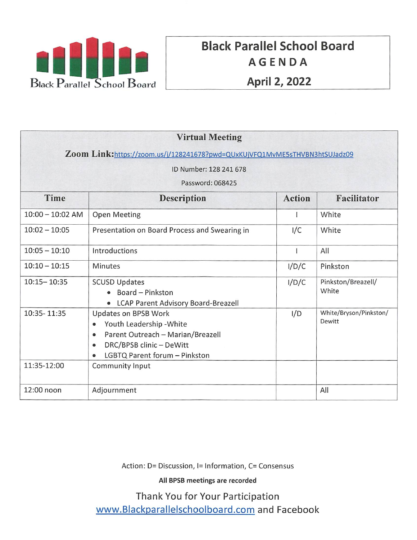

# Black Parallel School Board AGENDA April 2, 2022

| <b>Virtual Meeting</b>                                                     |                                                                                                                                                                                                        |               |                                  |
|----------------------------------------------------------------------------|--------------------------------------------------------------------------------------------------------------------------------------------------------------------------------------------------------|---------------|----------------------------------|
| Zoom Link:https://zoom.us/j/128241678?pwd=QUxKUjVFQ1MvME5sTHVBN3htSUJadz09 |                                                                                                                                                                                                        |               |                                  |
| ID Number: 128 241 678                                                     |                                                                                                                                                                                                        |               |                                  |
| Password: 068425                                                           |                                                                                                                                                                                                        |               |                                  |
| Time                                                                       | <b>Description</b>                                                                                                                                                                                     | <b>Action</b> | <b>Facilitator</b>               |
| $10:00 - 10:02$ AM                                                         | <b>Open Meeting</b>                                                                                                                                                                                    |               | White                            |
| $10:02 - 10:05$                                                            | Presentation on Board Process and Swearing in                                                                                                                                                          | I/C           | White                            |
| $10:05 - 10:10$                                                            | Introductions                                                                                                                                                                                          |               | All                              |
| $10:10 - 10:15$                                                            | <b>Minutes</b>                                                                                                                                                                                         | I/D/C         | Pinkston                         |
| $10:15 - 10:35$                                                            | <b>SCUSD Updates</b><br>• Board - Pinkston<br>• LCAP Parent Advisory Board-Breazell                                                                                                                    | I/D/C         | Pinkston/Breazell/<br>White      |
| 10:35-11:35                                                                | Updates on BPSB Work<br>Youth Leadership - White<br>$\bullet$<br>Parent Outreach - Marian/Breazell<br>$\bullet$<br>DRC/BPSB clinic - DeWitt<br>$\bullet$<br>LGBTQ Parent forum - Pinkston<br>$\bullet$ | I/D           | White/Bryson/Pinkston/<br>Dewitt |
| 11:35-12:00                                                                | Community Input                                                                                                                                                                                        |               |                                  |
| 12:00 noon                                                                 | Adjournment                                                                                                                                                                                            |               | All                              |

Action: D= Discussion, 1= Information, C= Consensus

All BPSB meetings are recorded

Thank You for Your Participation www.Blackparallelschoolboard.com and Facebook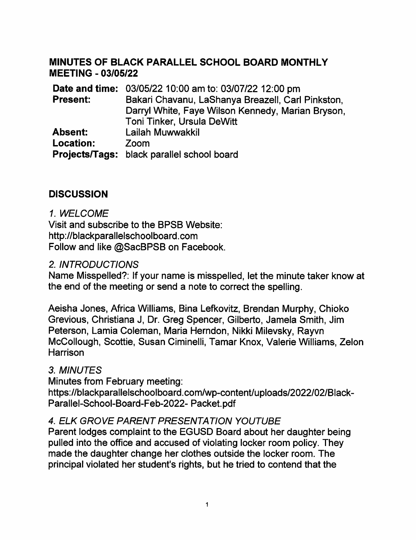#### MINUTES OF BLACK PARALLEL SCHOOL BOARD MONTHLY MEETING-03/05/22

Date and time: 03/05/22 10:00 am to: 03/07/22 12:00 pm Present: Bakari Chavanu, LaShanya Breazell, Carl Pinkston, Darryl White, Faye Wilson Kennedy. Marian Bryson Toni Tinker, Ursula DeWitt Lailah Muwwakkil Zoom Projects/Tags: Diack parallel school board Absent: Location:

## **DISCUSSION**

#### 1. WELCOME

Visit and subscribe to the BPSB Website: http://blackparalielschoolboard.com Follow and like @SacBPSB on Facebook.

#### 2. INTRODUCTIONS

Name Misspelled?: If your name is misspelled, let the minute taker know at the end of the meeting or send a note to correct the spelling.

Aeisha Jones, Africa Williams, Bina Lefkovitz, Brendan Murphy, Chioko Grevious, Christiana J, Dr. Greg Spencer, Gilberto, Jamela Smith, Jim Peterson, Lamia Coleman, Maria Herndon, Nikki Milevsky, Rayvn McCollough, Scottie, Susan Ciminelli, Tamar Knox, Valerie Williams, Zelon **Harrison** 

#### 3. MINUTES

Minutes from February meeting: https://blackparallelschoolboard.com/wp-content/uploads/2022/02/Black-Parallel-School-Board-Feb-2022- Packet.pdf

#### 4. ELK GROVE PARENT PRESENTATION YOUTUBE

Parent lodges complaint to the EGUSD Board about her daughter being pulled into the office and accused of violating locker room policy. They made the daughter change her clothes outside the locker room. The principal violated her student's rights, but he tried to contend that the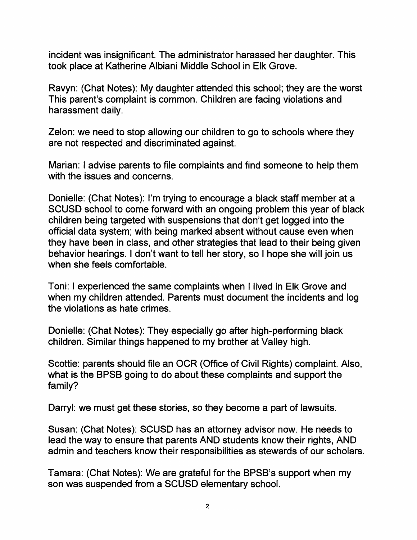incident was insignificant. The administrator harassed her daughter. This took place at Katherine Albiani Middle School in Elk Grove.

Ravyn: (Chat Notes): My daughter attended this school; they are the worst This parent's complaint is common. Children are facing violations and harassment daily.

Zelon: we need to stop allowing our children to go to schools where they are not respected and discriminated against.

Marian: I advise parents to file complaints and find someone to help them with the issues and concerns.

Donielle: (Chat Notes): I'm trying to encourage a black staff member at a SCUSD school to come forward with an ongoing problem this year of black children being targeted with suspensions that don't get logged into the official data system; with being marked absent without cause even when they have been in class, and other strategies that lead to their being given behavior hearings. I don't want to tell her story, so 1 hope she will join us when she feels comfortable.

Toni: I experienced the same complaints when I lived in Elk Grove and when my children attended. Parents must document the incidents and log the violations as hate crimes.

Donielle: (Chat Notes): They especially go after high-performing black children. Similar things happened to my brother at Valley high.

Scottie: parents should file an OCR (Office of Civil Rights) complaint. Also, what is the BPSB going to do about these complaints and support the family?

Darryl: we must get these stories, so they become a part of lawsuits.

Susan: (Chat Notes): SCUSD has an attorney advisor now. He needs to lead the way to ensure that parents AND students know their rights, AND admin and teachers know their responsibilities as stewards of our scholars.

Tamara: (Chat Notes): We are grateful for the BPSB's support when my son was suspended from a SCUSD elementary school.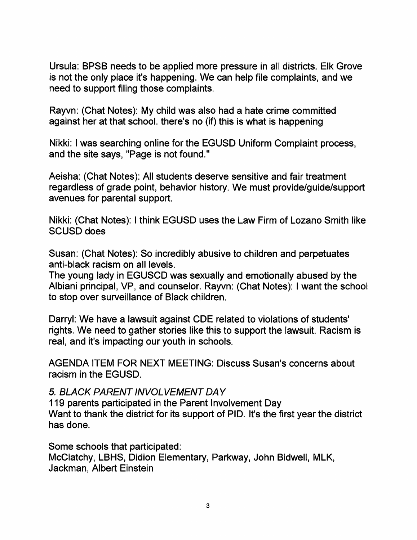Ursula: BPSB needs to be applied more pressure in all districts. Elk Grove is not the only place it's happening. We can help file complaints, and we need to support filing those complaints.

Rayvn: (Chat Notes): My child was also had a hate crime committed against her at that school, there's no (if) this is what is happening

Nikki: I was searching online for the EGUSD Uniform Complaint process and the site says, "Page is not found."

Aeisha: (Chat Notes): All students deserve sensitive and fair treatment regardless of grade point, behavior history. We must provide/guide/support avenues for parental support.

Nikki: (Chat Notes): I think EGUSD uses the Law Firm of Lozano Smith like SCUSD does

Susan: (Chat Notes): So incredibly abusive to children and perpetuates anti-black racism on all levels.

The young lady in EGUSCD was sexually and emotionally abused by the Albiani principal, VP, and counselor. Rayvn: (Chat Notes): I want the school to stop over surveillance of Black children.

Darryl: We have a lawsuit against CDE related to violations of students' rights. We need to gather stories like this to support the lawsuit. Racism is real, and it's impacting our youth in schools.

AGENDA ITEM FOR NEXT MEETING: Discuss Susan's concerns about racism in the EGUSD.

5. BLACK PARENT INVOLVEMENT DAY

119 parents participated in the Parent Involvement Day Want to thank the district for its support of PID. It's the first year the district has done.

Some schools that participated:

McClatchy, LBHS, Didion Elementary, Parkway, John Bidwell, MLK Jackman, Albert Einstein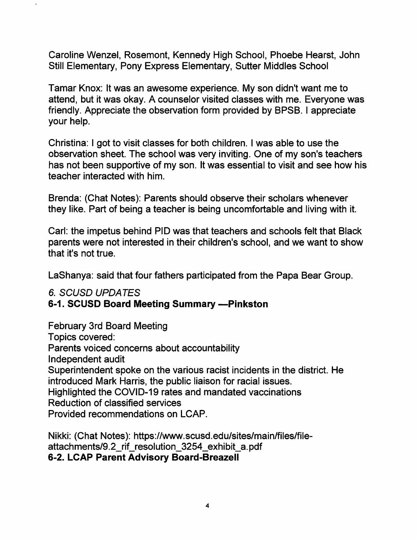Caroline Wenzel, Rosemont, Kennedy High School, Phoebe Hearst, John Still Elementary, Pony Express Elementary, Sutter Middles School

Tamar Knox: It was an awesome experience. My son didn't want me to attend, but it was okay. A counselor visited classes with me. Everyone was friendly. Appreciate the observation form provided by BPSB. I appreciate your help.

Christina: I got to visit classes for both children. I was able to use the observation sheet. The school was very inviting. One of my son's teachers has not been supportive of my son. It was essential to visit and see how his teacher interacted with him.

Brenda: (Chat Notes): Parents should observe their scholars whenever they like. Part of being a teacher is being uncomfortable and living with it.

Carl: the impetus behind PID was that teachers and schools felt that Black parents were not interested in their children's school, and we want to show that it's not true.

LaShanya: said that four fathers participated from the Papa Bear Group.

#### 6. SCUSD UPDATES

#### 6-1. SCUSD Board Meeting Summary -- Pinkston

February 3rd Board Meeting Topics covered: Parents voiced concerns about accountability Independent audit Superintendent spoke on the various racist incidents in the district. He introduced Mark Harris, the public liaison for racial issues. Highlighted the COVID-19 rates and mandated vaccinations Reduction of classified services Provided recommendations on LCAP.

Nikki: (Chat Notes): https://www.scusd.edu/sites/main/files/fileattachments/9.2 rif\_resolution\_3254\_exhibit\_a.pdf 6-2. LCAP Parent Advisory Board-Breazell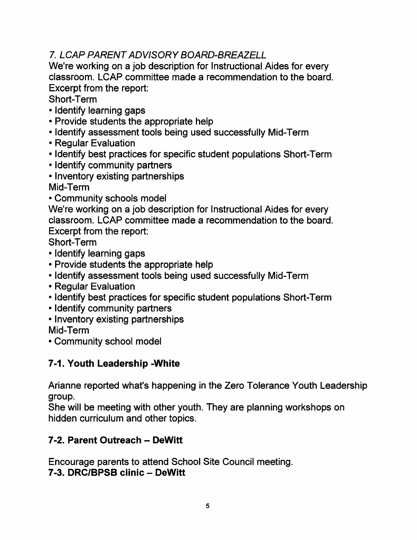# 7. LCAP PARENT ADVISORY BOARD-BREAZELL

We're working on a job description for Instructional Aides for every classroom. LCAP committee made a recommendation to the board. Excerpt from the report:

Short-Term

- Identify learning gaps
- Provide students the appropriate help
- Identify assessment tools being used successfully Mid-Term
- Regular Evaluation
- Identify best practices for specific student populations Short-Term
- Identify community partners
- Inventory existing partnerships Mid-Term
- Community schools model

We're working on a job description for Instructional Aides for every classroom. LCAP committee made a recommendation to the board. Excerpt from the report:

Short-Term

- Identify learning gaps
- Provide students the appropriate help
- Identify assessment tools being used successfully Mid-Term
- Regular Evaluation
- Identify best practices for specific student populations Short-Term
- Identify community partners
- Inventory existing partnerships

Mid-Term

• Community school model

# 7-1. Youth Leadership -White

Arianne reported what's happening in the Zero Tolerance Youth Leadership group.

She will be meeting with other youth. They are planning workshops on hidden curriculum and other topics.

# 7-2. Parent Outreach - DeWitt

Encourage parents to attend School Site Council meeting. 7-3. DRC/BPSB clinic - DeWitt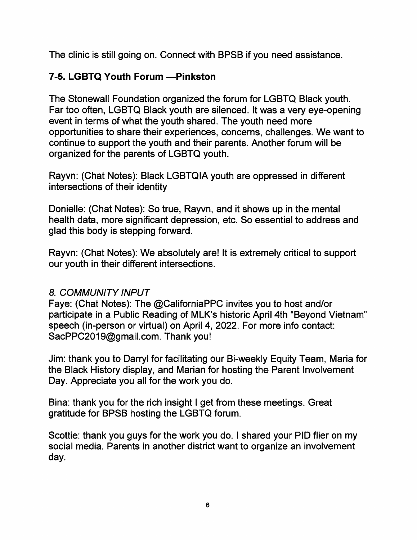The clinic is still going on. Connect with BPSB if you need assistance.

## 7-5. LGBTQ Youth Forum - Pinkston

The Stonewall Foundation organized the forum for LGBTQ Black youth. Far too often, LGBTQ Black youth are silenced. It was a very eye-opening event in terms of what the youth shared. The youth need more opportunities to share their experiences, concerns, challenges. We want to continue to support the youth and their parents. Another forum will be organized for the parents of LGBTQ youth.

Rayvn: (Chat Notes); Black LGBTQIA youth are oppressed in different intersections of their identity

Donielle: (Chat Notes): So true, Rayvn, and it shows up in the mental health data, more significant depression, etc. So essential to address and glad this body is stepping forward.

Rayvn: (Chat Notes): We absolutely are! It is extremely critical to support our youth in their different intersections.

## 8. COMMUNITY INPUT

Faye: (Chat Notes): The @CaliforniaPPC invites you to host and/or participate in a Public Reading of MLK's historic April 4th "Beyond Vietnam speech (in-person or virtual) on April 4, 2022. For more info contact: SacPPC2019@gmail.com. Thank you!

Jim: thank you to Darryl for facilitating our Bi-weekly Equity Team, Maria for the Black History display, and Marian for hosting the Parent Involvement Day. Appreciate you all for the work you do.

Bina: thank you for the rich insight I get from these meetings. Great gratitude for BPSB hosting the LGBTQ forum.

Scottie: thank you guys for the work you do. I shared your PID flier on my social media. Parents in another district want to organize an involvement day.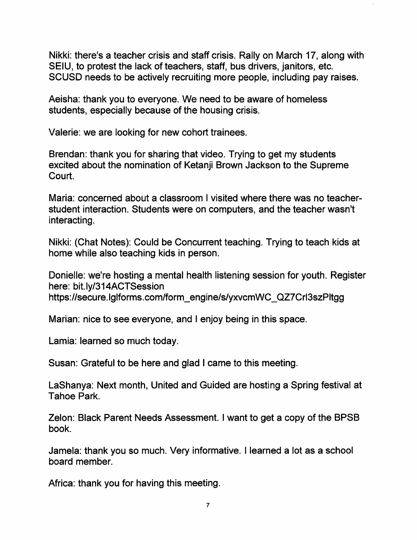Nikki: there's a teacher crisis and staff crisis. Rally on March 17, along with SEIU, to protest the lack of teachers, staff, bus drivers, janitors, etc. SCUSD needs to be actively recruiting more people, including pay raises.

Aeisha; thank you to everyone. We need to be aware of homeless students, especially because of the housing crisis.

Valerie: we are looking for new cohort trainees.

Brendan: thank you for sharing that video. Trying to get my students excited about the nomination of Ketanji Brown Jackson to the Supreme Court.

Maria: concerned about a classroom I visited where there was no teacherstudent interaction. Students were on computers, and the teacher wasn't interacting.

Nikki: (Chat Notes): Could be Concurrent teaching. Trying to teach kids at home while also teaching kids in person.

Donielle: we're hosting a mental health listening session for youth. Register here: bit.ly/314ACTSession https://secure.lglforms.com/form\_engine/s/yxvcmWC\_QZ7Crl3szPltgg

Marian: nice to see everyone, and I enjoy being in this space.

Lamia: learned so much today.

Susan: Grateful to be here and glad I came to this meeting.

LaShanya; Next month. United and Guided are hosting a Spring festival at Tahoe Park.

Zeion: Black Parent Needs Assessment. I want to get a copy of the BPSB book.

Jamela: thank you so much. Very informative. I learned a lot as a school board member.

Africa: thank you for having this meeting.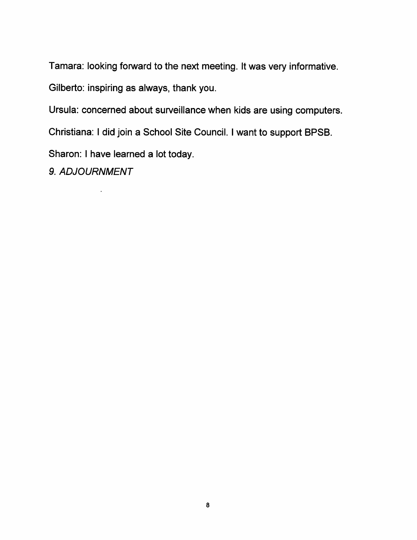Tamara: looking forward to the next meeting. It was very informative.

Gilberto: inspiring as always, thank you.

Ursula: concerned about surveillance when kids are using computers.

Christiana: I did join a School Site Council. I want to support BPSB.

Sharon: I have learned a lot today.

9. ADJOURNMENT

 $\ddot{\phantom{a}}$